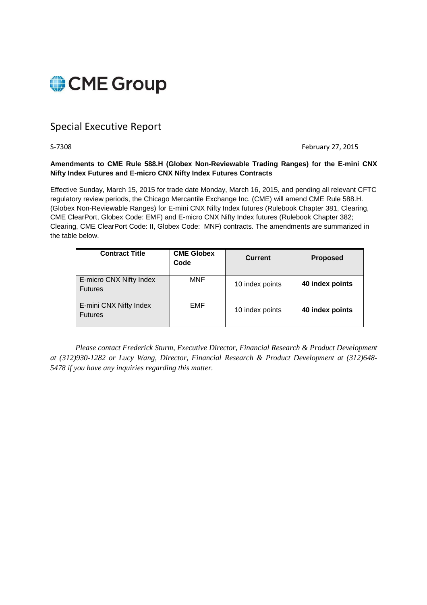

# Special Executive Report

S-7308 **February 27, 2015** 

#### **Amendments to CME Rule 588.H (Globex Non-Reviewable Trading Ranges) for the E-mini CNX Nifty Index Futures and E-micro CNX Nifty Index Futures Contracts**

Effective Sunday, March 15, 2015 for trade date Monday, March 16, 2015, and pending all relevant CFTC regulatory review periods, the Chicago Mercantile Exchange Inc. (CME) will amend CME Rule 588.H. (Globex Non-Reviewable Ranges) for E-mini CNX Nifty Index futures (Rulebook Chapter 381, Clearing, CME ClearPort, Globex Code: EMF) and E-micro CNX Nifty Index futures (Rulebook Chapter 382; Clearing, CME ClearPort Code: II, Globex Code: MNF) contracts. The amendments are summarized in the table below.

| <b>Contract Title</b>                     | <b>CME Globex</b><br>Code | <b>Current</b>  | <b>Proposed</b> |
|-------------------------------------------|---------------------------|-----------------|-----------------|
| E-micro CNX Nifty Index<br><b>Futures</b> | MNF                       | 10 index points | 40 index points |
| E-mini CNX Nifty Index<br><b>Futures</b>  | <b>EMF</b>                | 10 index points | 40 index points |

*Please contact Frederick Sturm, Executive Director, Financial Research & Product Development at (312)930-1282 or Lucy Wang, Director, Financial Research & Product Development at (312)648- 5478 if you have any inquiries regarding this matter.*